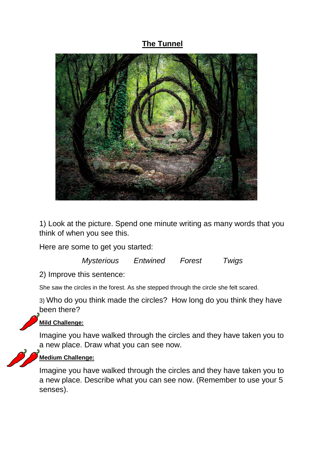## **The Tunnel**



1) Look at the picture. Spend one minute writing as many words that you think of when you see this.

Here are some to get you started:

*Mysterious Entwined Forest Twigs* 

2) Improve this sentence:

She saw the circles in the forest. As she stepped through the circle she felt scared.

3) Who do you think made the circles? How long do you think they have been there?



## **Mild Challenge:**

Imagine you have walked through the circles and they have taken you to a new place. Draw what you can see now.



## **Medium Challenge:**

Imagine you have walked through the circles and they have taken you to a new place. Describe what you can see now. (Remember to use your 5 senses).